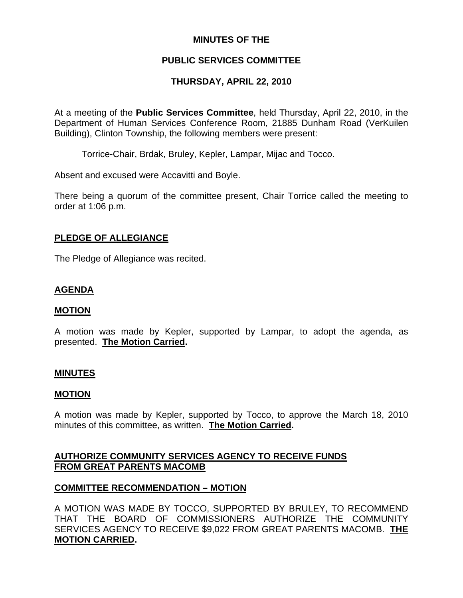## **MINUTES OF THE**

### **PUBLIC SERVICES COMMITTEE**

### **THURSDAY, APRIL 22, 2010**

At a meeting of the **Public Services Committee**, held Thursday, April 22, 2010, in the Department of Human Services Conference Room, 21885 Dunham Road (VerKuilen Building), Clinton Township, the following members were present:

Torrice-Chair, Brdak, Bruley, Kepler, Lampar, Mijac and Tocco.

Absent and excused were Accavitti and Boyle.

There being a quorum of the committee present, Chair Torrice called the meeting to order at 1:06 p.m.

#### **PLEDGE OF ALLEGIANCE**

The Pledge of Allegiance was recited.

## **AGENDA**

#### **MOTION**

A motion was made by Kepler, supported by Lampar, to adopt the agenda, as presented. **The Motion Carried.** 

#### **MINUTES**

#### **MOTION**

A motion was made by Kepler, supported by Tocco, to approve the March 18, 2010 minutes of this committee, as written. **The Motion Carried.** 

#### **AUTHORIZE COMMUNITY SERVICES AGENCY TO RECEIVE FUNDS FROM GREAT PARENTS MACOMB**

#### **COMMITTEE RECOMMENDATION – MOTION**

A MOTION WAS MADE BY TOCCO, SUPPORTED BY BRULEY, TO RECOMMEND THAT THE BOARD OF COMMISSIONERS AUTHORIZE THE COMMUNITY SERVICES AGENCY TO RECEIVE \$9,022 FROM GREAT PARENTS MACOMB. **THE MOTION CARRIED.**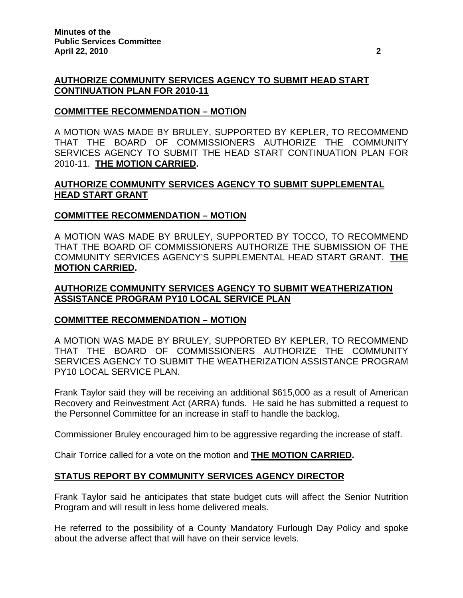# **AUTHORIZE COMMUNITY SERVICES AGENCY TO SUBMIT HEAD START CONTINUATION PLAN FOR 2010-11**

# **COMMITTEE RECOMMENDATION – MOTION**

A MOTION WAS MADE BY BRULEY, SUPPORTED BY KEPLER, TO RECOMMEND THAT THE BOARD OF COMMISSIONERS AUTHORIZE THE COMMUNITY SERVICES AGENCY TO SUBMIT THE HEAD START CONTINUATION PLAN FOR 2010-11. **THE MOTION CARRIED.** 

# **AUTHORIZE COMMUNITY SERVICES AGENCY TO SUBMIT SUPPLEMENTAL HEAD START GRANT**

## **COMMITTEE RECOMMENDATION – MOTION**

A MOTION WAS MADE BY BRULEY, SUPPORTED BY TOCCO, TO RECOMMEND THAT THE BOARD OF COMMISSIONERS AUTHORIZE THE SUBMISSION OF THE COMMUNITY SERVICES AGENCY'S SUPPLEMENTAL HEAD START GRANT. **THE MOTION CARRIED.** 

## **AUTHORIZE COMMUNITY SERVICES AGENCY TO SUBMIT WEATHERIZATION ASSISTANCE PROGRAM PY10 LOCAL SERVICE PLAN**

## **COMMITTEE RECOMMENDATION – MOTION**

A MOTION WAS MADE BY BRULEY, SUPPORTED BY KEPLER, TO RECOMMEND THAT THE BOARD OF COMMISSIONERS AUTHORIZE THE COMMUNITY SERVICES AGENCY TO SUBMIT THE WEATHERIZATION ASSISTANCE PROGRAM PY10 LOCAL SERVICE PLAN.

Frank Taylor said they will be receiving an additional \$615,000 as a result of American Recovery and Reinvestment Act (ARRA) funds. He said he has submitted a request to the Personnel Committee for an increase in staff to handle the backlog.

Commissioner Bruley encouraged him to be aggressive regarding the increase of staff.

Chair Torrice called for a vote on the motion and **THE MOTION CARRIED.** 

# **STATUS REPORT BY COMMUNITY SERVICES AGENCY DIRECTOR**

Frank Taylor said he anticipates that state budget cuts will affect the Senior Nutrition Program and will result in less home delivered meals.

He referred to the possibility of a County Mandatory Furlough Day Policy and spoke about the adverse affect that will have on their service levels.